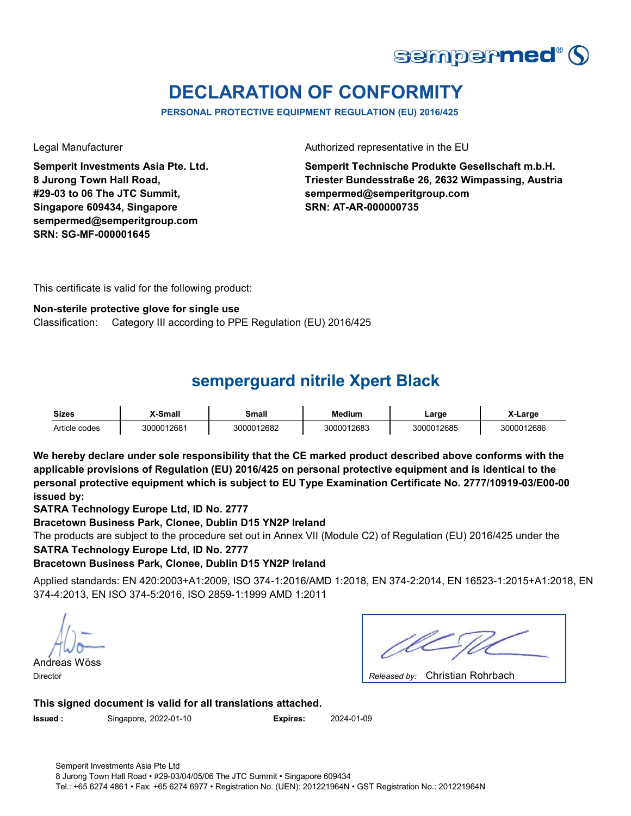

# **DECLARATION OF CONFORMITY**

**PERSONAL PROTECTIVE EQUIPMENT REGULATION (EU) 2016/425**

**Semperit Investments Asia Pte. Ltd. 8 Jurong Town Hall Road, #29-03 to 06 The JTC Summit, Singapore 609434, Singapore sempermed@semperitgroup.com SRN: SG-MF-000001645**

Legal Manufacturer **Authorized representative in the EU** 

**Semperit Technische Produkte Gesellschaft m.b.H. Triester Bundesstraße 26, 2632 Wimpassing, Austria sempermed@semperitgroup.com SRN: AT-AR-000000735**

This certificate is valid for the following product:

#### **Non-sterile protective glove for single use**

Classification: Category III according to PPE Regulation (EU) 2016/425

### **semperguard nitrile Xpert Black**

| <b>Sizes</b>  | <b>Y-Small</b> | Small      | <b>Medium</b> | ∟arge      | <b>. ∟arge</b> |
|---------------|----------------|------------|---------------|------------|----------------|
| Article codes | 3000012681     | 3000012682 | 3000012683    | 3000012685 | 3000012686     |

**We hereby declare under sole responsibility that the CE marked product described above conforms with the applicable provisions of Regulation (EU) 2016/425 on personal protective equipment and is identical to the personal protective equipment which is subject to EU Type Examination Certificate No. 2777/10919-03/E00-00 issued by:**

**SATRA Technology Europe Ltd, ID No. 2777**

**Bracetown Business Park, Clonee, Dublin D15 YN2P Ireland**

**SATRA Technology Europe Ltd, ID No. 2777** The products are subject to the procedure set out in Annex VII (Module C2) of Regulation (EU) 2016/425 under the

### **Bracetown Business Park, Clonee, Dublin D15 YN2P Ireland**

Applied standards: EN 420:2003+A1:2009, ISO 374-1:2016/AMD 1:2018, EN 374-2:2014, EN 16523-1:2015+A1:2018, EN 374-4:2013, EN ISO 374-5:2016, ISO 2859-1:1999 AMD 1:2011

Andreas Wöss Director *Released by:* 

Christian Rohrbach

**This signed document is valid for all translations attached.**

**Issued :** Singapore, 2022-01-10 **Expires:** 2024-01-09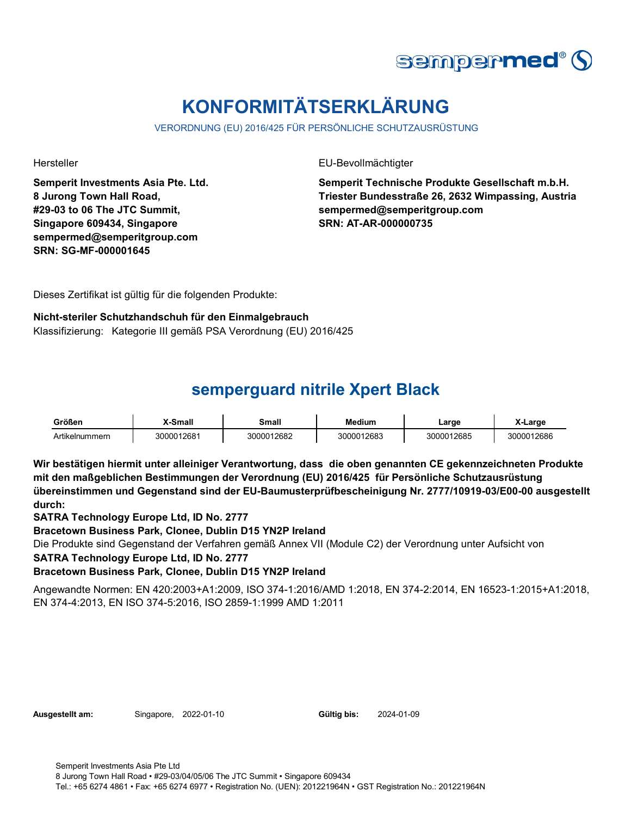

# **KONFORMITÄTSERKLÄRUNG**

VERORDNUNG (EU) 2016/425 FÜR PERSÖNLICHE SCHUTZAUSRÜSTUNG

**Semperit Investments Asia Pte. Ltd. 8 Jurong Town Hall Road, #29-03 to 06 The JTC Summit, Singapore 609434, Singapore sempermed@semperitgroup.com SRN: SG-MF-000001645**

Hersteller EU-Bevollmächtigter

**Semperit Technische Produkte Gesellschaft m.b.H. Triester Bundesstraße 26, 2632 Wimpassing, Austria sempermed@semperitgroup.com SRN: AT-AR-000000735**

Dieses Zertifikat ist gültig für die folgenden Produkte:

**Nicht-steriler Schutzhandschuh für den Einmalgebrauch** Klassifizierung: Kategorie III gemäß PSA Verordnung (EU) 2016/425

## **semperguard nitrile Xpert Black**

| Größen         | <sup>™</sup> Small | <b>Small</b> | <b>Medium</b> | ∟arɑe      | 2500       |
|----------------|--------------------|--------------|---------------|------------|------------|
| Artikelnummern | 3000012681         | 00012682     | 3000012683    | 3000012685 | 3000012686 |

**Wir bestätigen hiermit unter alleiniger Verantwortung, dass die oben genannten CE gekennzeichneten Produkte mit den maßgeblichen Bestimmungen der Verordnung (EU) 2016/425 für Persönliche Schutzausrüstung übereinstimmen und Gegenstand sind der EU-Baumusterprüfbescheinigung Nr. 2777/10919-03/E00-00 ausgestellt durch:**

**SATRA Technology Europe Ltd, ID No. 2777**

**Bracetown Business Park, Clonee, Dublin D15 YN2P Ireland**

Die Produkte sind Gegenstand der Verfahren gemäß Annex VII (Module C2) der Verordnung unter Aufsicht von

**SATRA Technology Europe Ltd, ID No. 2777**

**Bracetown Business Park, Clonee, Dublin D15 YN2P Ireland**

Angewandte Normen: EN 420:2003+A1:2009, ISO 374-1:2016/AMD 1:2018, EN 374-2:2014, EN 16523-1:2015+A1:2018, EN 374-4:2013, EN ISO 374-5:2016, ISO 2859-1:1999 AMD 1:2011

**Ausgestellt am:** Singapore, 2022-01-10 **Gültig bis:** 2024-01-09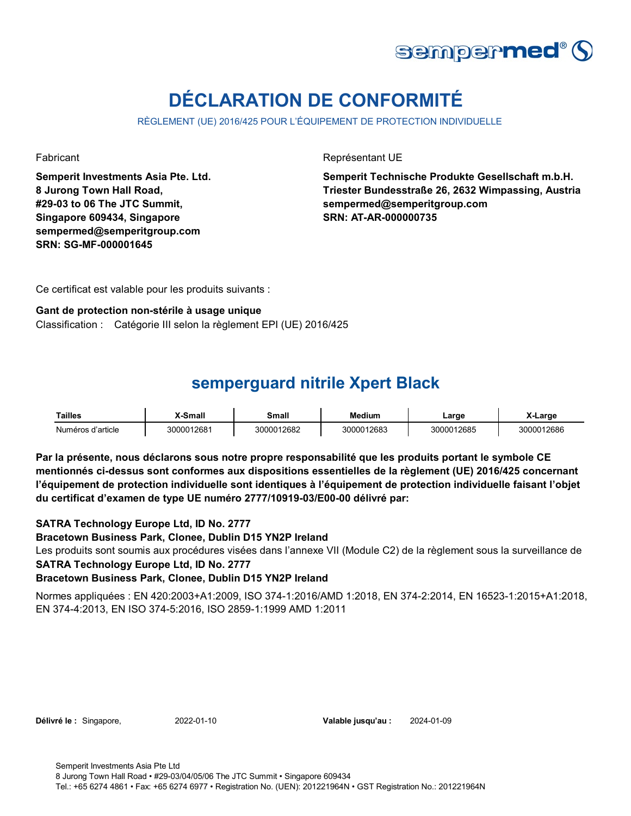

# **DÉCLARATION DE CONFORMITÉ**

RÈGLEMENT (UE) 2016/425 POUR L'ÉQUIPEMENT DE PROTECTION INDIVIDUELLE

**Semperit Investments Asia Pte. Ltd. 8 Jurong Town Hall Road, #29-03 to 06 The JTC Summit, Singapore 609434, Singapore sempermed@semperitgroup.com SRN: SG-MF-000001645**

Fabricant **Représentant UE** 

**Semperit Technische Produkte Gesellschaft m.b.H. Triester Bundesstraße 26, 2632 Wimpassing, Austria sempermed@semperitgroup.com SRN: AT-AR-000000735**

Ce certificat est valable pour les produits suivants :

#### **Gant de protection non-stérile à usage unique**

Classification : Catégorie III selon la règlement EPI (UE) 2016/425

### **semperguard nitrile Xpert Black**

| Tailles           | X-Small    | Small      | <b>Medium</b> | ∟arge      | X-Large    |
|-------------------|------------|------------|---------------|------------|------------|
| Numéros d'article | 3000012681 | 3000012682 | 3000012683    | 3000012685 | 3000012686 |

**Par la présente, nous déclarons sous notre propre responsabilité que les produits portant le symbole CE mentionnés ci-dessus sont conformes aux dispositions essentielles de la règlement (UE) 2016/425 concernant l'équipement de protection individuelle sont identiques à l'équipement de protection individuelle faisant l'objet du certificat d'examen de type UE numéro 2777/10919-03/E00-00 délivré par:**

#### **SATRA Technology Europe Ltd, ID No. 2777**

**Bracetown Business Park, Clonee, Dublin D15 YN2P Ireland**

**SATRA Technology Europe Ltd, ID No. 2777** Les produits sont soumis aux procédures visées dans l'annexe VII (Module C2) de la règlement sous la surveillance de

#### **Bracetown Business Park, Clonee, Dublin D15 YN2P Ireland**

Normes appliquées : EN 420:2003+A1:2009, ISO 374-1:2016/AMD 1:2018, EN 374-2:2014, EN 16523-1:2015+A1:2018, EN 374-4:2013, EN ISO 374-5:2016, ISO 2859-1:1999 AMD 1:2011

| <b>Délivré le : Singapore,</b> |  |
|--------------------------------|--|
|--------------------------------|--|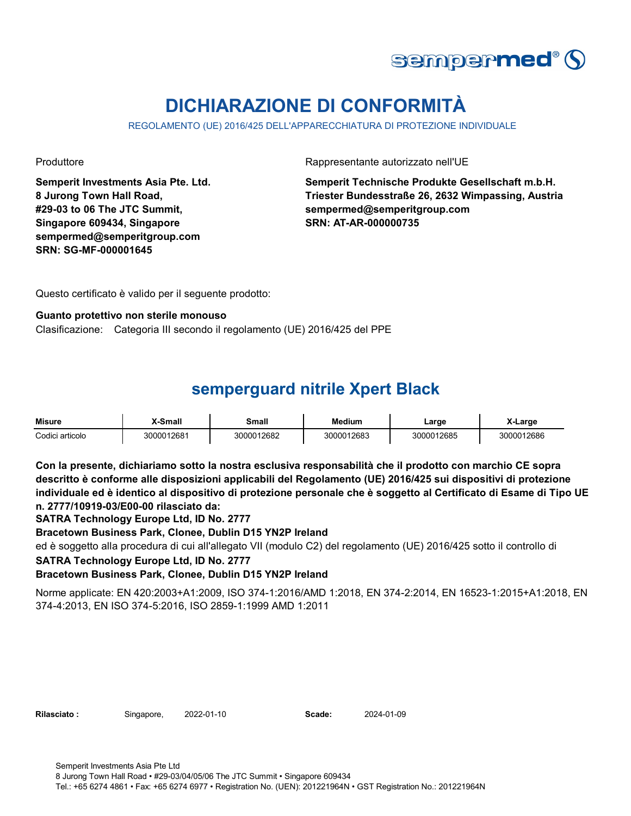

# **DICHIARAZIONE DI CONFORMITÀ**

REGOLAMENTO (UE) 2016/425 DELL'APPARECCHIATURA DI PROTEZIONE INDIVIDUALE

**Semperit Investments Asia Pte. Ltd. 8 Jurong Town Hall Road, #29-03 to 06 The JTC Summit, Singapore 609434, Singapore sempermed@semperitgroup.com SRN: SG-MF-000001645**

Produttore **Rappresentante autorizzato nell'UE** 

**Semperit Technische Produkte Gesellschaft m.b.H. Triester Bundesstraße 26, 2632 Wimpassing, Austria sempermed@semperitgroup.com SRN: AT-AR-000000735**

Questo certificato è valido per il seguente prodotto:

#### **Guanto protettivo non sterile monouso**

Clasificazione: Categoria III secondo il regolamento (UE) 2016/425 del PPE

## **semperguard nitrile Xpert Black**

| <b>Misure</b>   | -Small     | Small      | <b>Medium</b> | ∟arge      | X-Larɑe    |
|-----------------|------------|------------|---------------|------------|------------|
| Codici articolo | 3000012681 | 3000012682 | 3000012683    | 3000012685 | 3000012686 |

**Con la presente, dichiariamo sotto la nostra esclusiva responsabilità che il prodotto con marchio CE sopra descritto è conforme alle disposizioni applicabili del Regolamento (UE) 2016/425 sui dispositivi di protezione individuale ed è identico al dispositivo di protezione personale che è soggetto al Certificato di Esame di Tipo UE n. 2777/10919-03/E00-00 rilasciato da:**

**SATRA Technology Europe Ltd, ID No. 2777**

**Bracetown Business Park, Clonee, Dublin D15 YN2P Ireland**

ed è soggetto alla procedura di cui all'allegato VII (modulo C2) del regolamento (UE) 2016/425 sotto il controllo di

**SATRA Technology Europe Ltd, ID No. 2777**

### **Bracetown Business Park, Clonee, Dublin D15 YN2P Ireland**

Norme applicate: EN 420:2003+A1:2009, ISO 374-1:2016/AMD 1:2018, EN 374-2:2014, EN 16523-1:2015+A1:2018, EN 374-4:2013, EN ISO 374-5:2016, ISO 2859-1:1999 AMD 1:2011

**Rilasciato :** Singapore, 2022-01-10 **Scade:** 2024-01-09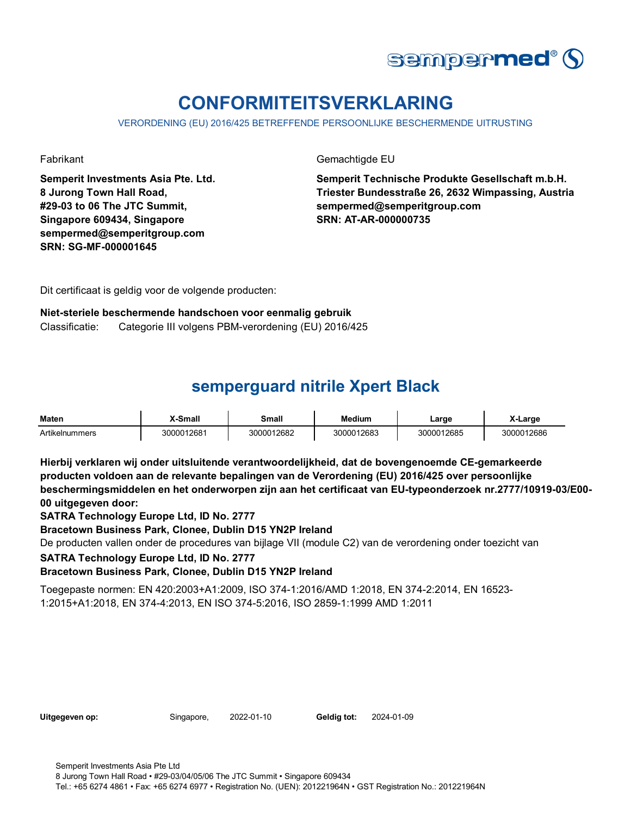

# **CONFORMITEITSVERKLARING**

VERORDENING (EU) 2016/425 BETREFFENDE PERSOONLIJKE BESCHERMENDE UITRUSTING

**Semperit Investments Asia Pte. Ltd. 8 Jurong Town Hall Road, #29-03 to 06 The JTC Summit, Singapore 609434, Singapore sempermed@semperitgroup.com SRN: SG-MF-000001645**

Fabrikant Gemachtigde EU

**Semperit Technische Produkte Gesellschaft m.b.H. Triester Bundesstraße 26, 2632 Wimpassing, Austria sempermed@semperitgroup.com SRN: AT-AR-000000735**

Dit certificaat is geldig voor de volgende producten:

### **Niet-steriele beschermende handschoen voor eenmalig gebruik** Classificatie: Categorie III volgens PBM-verordening (EU) 2016/425

# **semperguard nitrile Xpert Black**

| <b>Maten</b>   | X-Small    | Small      | <b>Medium</b> | ∟arqe      | $\cdots$<br>X-Large |
|----------------|------------|------------|---------------|------------|---------------------|
| Artikelnummers | 3000012681 | 3000012682 | 3000012683    | 3000012685 | 3000012686          |

**Hierbij verklaren wij onder uitsluitende verantwoordelijkheid, dat de bovengenoemde CE-gemarkeerde producten voldoen aan de relevante bepalingen van de Verordening (EU) 2016/425 over persoonlijke beschermingsmiddelen en het onderworpen zijn aan het certificaat van EU-typeonderzoek nr.2777/10919-03/E00- 00 uitgegeven door:**

**SATRA Technology Europe Ltd, ID No. 2777**

**Bracetown Business Park, Clonee, Dublin D15 YN2P Ireland**

De producten vallen onder de procedures van bijlage VII (module C2) van de verordening onder toezicht van

**SATRA Technology Europe Ltd, ID No. 2777**

**Bracetown Business Park, Clonee, Dublin D15 YN2P Ireland**

Toegepaste normen: EN 420:2003+A1:2009, ISO 374-1:2016/AMD 1:2018, EN 374-2:2014, EN 16523- 1:2015+A1:2018, EN 374-4:2013, EN ISO 374-5:2016, ISO 2859-1:1999 AMD 1:2011

| Uitgegeven op: |  |
|----------------|--|
|----------------|--|

**Uitgegeven op:** Singapore, 2022-01-10 **Geldig tot:** 2024-01-09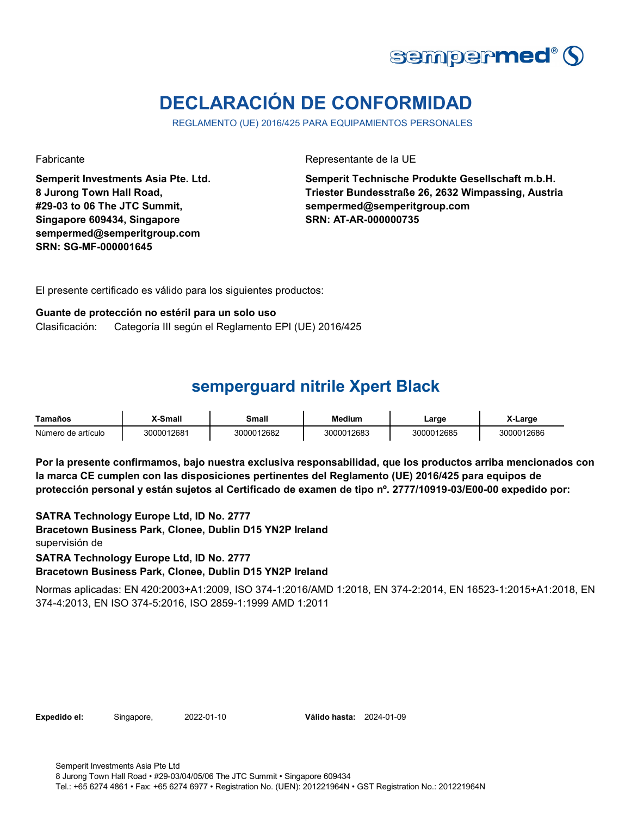

# **DECLARACIÓN DE CONFORMIDAD**

REGLAMENTO (UE) 2016/425 PARA EQUIPAMIENTOS PERSONALES

**Semperit Investments Asia Pte. Ltd. 8 Jurong Town Hall Road, #29-03 to 06 The JTC Summit, Singapore 609434, Singapore sempermed@semperitgroup.com SRN: SG-MF-000001645**

Fabricante de la UE

**Semperit Technische Produkte Gesellschaft m.b.H. Triester Bundesstraße 26, 2632 Wimpassing, Austria sempermed@semperitgroup.com SRN: AT-AR-000000735**

El presente certificado es válido para los siguientes productos:

#### **Guante de protección no estéril para un solo uso** Clasificación: Categoría III según el Reglamento EPI (UE) 2016/425

## **semperguard nitrile Xpert Black**

| Tamaños            | X-Small    | Small      | <b>Medium</b> | ∟arge      | X-Large    |
|--------------------|------------|------------|---------------|------------|------------|
| Número de artículo | 3000012681 | 3000012682 | 3000012683    | 3000012685 | 3000012686 |

**Por la presente confirmamos, bajo nuestra exclusiva responsabilidad, que los productos arriba mencionados con la marca CE cumplen con las disposiciones pertinentes del Reglamento (UE) 2016/425 para equipos de protección personal y están sujetos al Certificado de examen de tipo nº. 2777/10919-03/E00-00 expedido por:**

**SATRA Technology Europe Ltd, ID No. 2777 Bracetown Business Park, Clonee, Dublin D15 YN2P Ireland Bracetown Business Park, Clonee, Dublin D15 YN2P Ireland** supervisión de **SATRA Technology Europe Ltd, ID No. 2777**

Normas aplicadas: EN 420:2003+A1:2009, ISO 374-1:2016/AMD 1:2018, EN 374-2:2014, EN 16523-1:2015+A1:2018, EN 374-4:2013, EN ISO 374-5:2016, ISO 2859-1:1999 AMD 1:2011

**Expedido el:** Singapore, 2022-01-10 **Válido hasta:** 2024-01-09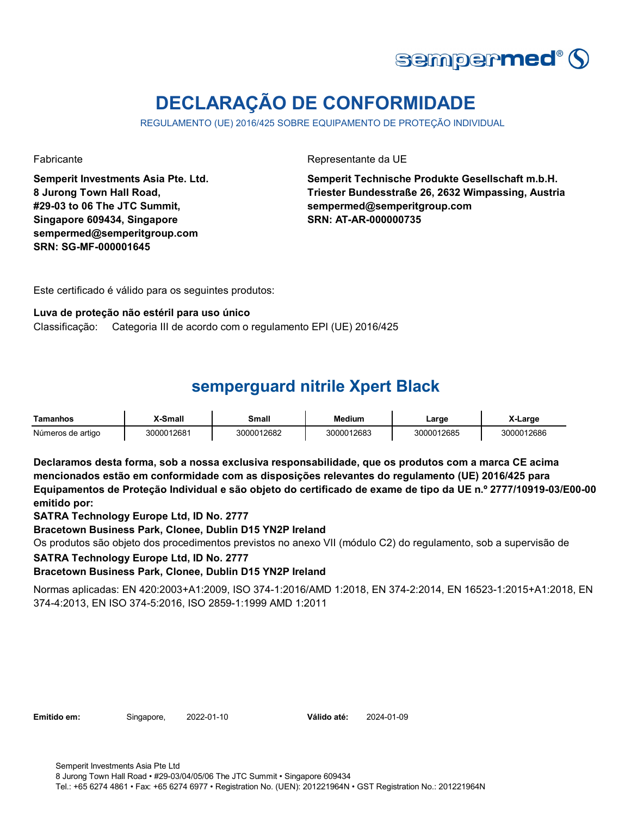

# **DECLARAÇÃO DE CONFORMIDADE**

REGULAMENTO (UE) 2016/425 SOBRE EQUIPAMENTO DE PROTEÇÃO INDIVIDUAL

**Semperit Investments Asia Pte. Ltd. 8 Jurong Town Hall Road, #29-03 to 06 The JTC Summit, Singapore 609434, Singapore sempermed@semperitgroup.com SRN: SG-MF-000001645**

Fabricante da UE

**Semperit Technische Produkte Gesellschaft m.b.H. Triester Bundesstraße 26, 2632 Wimpassing, Austria sempermed@semperitgroup.com SRN: AT-AR-000000735**

Este certificado é válido para os seguintes produtos:

#### **Luva de proteção não estéril para uso único**

Classificação: Categoria III de acordo com o regulamento EPI (UE) 2016/425

## **semperguard nitrile Xpert Black**

| Tamanhos          | -Small     | Small      | Medium     | ∟arge      | X-Large    |
|-------------------|------------|------------|------------|------------|------------|
| Números de artigo | 3000012681 | 3000012682 | 3000012683 | 3000012685 | 3000012686 |

**Declaramos desta forma, sob a nossa exclusiva responsabilidade, que os produtos com a marca CE acima mencionados estão em conformidade com as disposições relevantes do regulamento (UE) 2016/425 para Equipamentos de Proteção Individual e são objeto do certificado de exame de tipo da UE n.º 2777/10919-03/E00-00 emitido por:**

**SATRA Technology Europe Ltd, ID No. 2777**

**Bracetown Business Park, Clonee, Dublin D15 YN2P Ireland**

Os produtos são objeto dos procedimentos previstos no anexo VII (módulo C2) do regulamento, sob a supervisão de

**SATRA Technology Europe Ltd, ID No. 2777**

### **Bracetown Business Park, Clonee, Dublin D15 YN2P Ireland**

Normas aplicadas: EN 420:2003+A1:2009, ISO 374-1:2016/AMD 1:2018, EN 374-2:2014, EN 16523-1:2015+A1:2018, EN 374-4:2013, EN ISO 374-5:2016, ISO 2859-1:1999 AMD 1:2011

**Emitido em:** Singapore, 2022-01-10 **Válido até:** 2024-01-09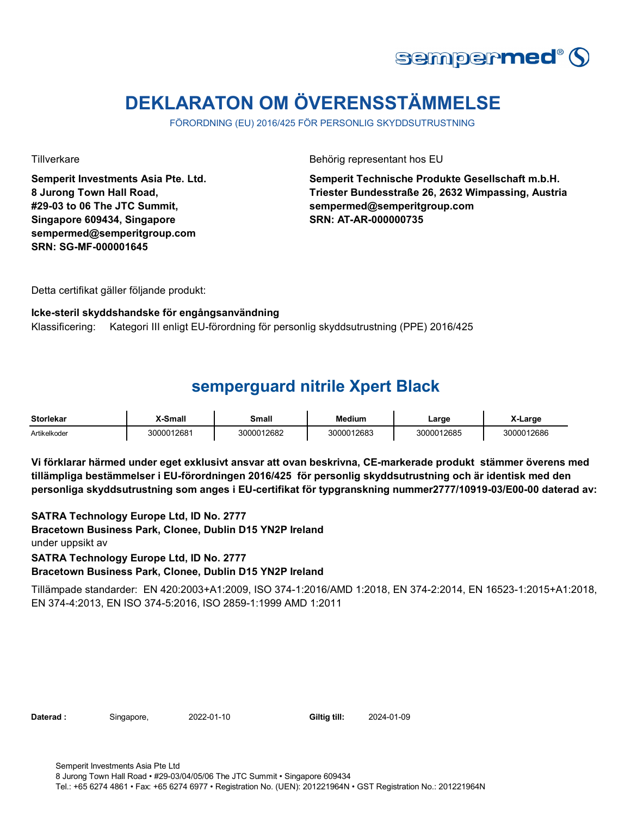

# **DEKLARATON OM ÖVERENSSTÄMMELSE**

FÖRORDNING (EU) 2016/425 FÖR PERSONLIG SKYDDSUTRUSTNING

**Semperit Investments Asia Pte. Ltd. 8 Jurong Town Hall Road, #29-03 to 06 The JTC Summit, Singapore 609434, Singapore sempermed@semperitgroup.com SRN: SG-MF-000001645**

Tillverkare **Behörig representant hos EU** 

**Semperit Technische Produkte Gesellschaft m.b.H. Triester Bundesstraße 26, 2632 Wimpassing, Austria sempermed@semperitgroup.com SRN: AT-AR-000000735**

Detta certifikat gäller följande produkt:

#### **Icke-steril skyddshandske för engångsanvändning**

Klassificering: Kategori III enligt EU-förordning för personlig skyddsutrustning (PPE) 2016/425

### **semperguard nitrile Xpert Black**

| <b>Storlekar</b> | X-Small    | Small      | <b>Medium</b> | ∟arge      | X-Larɑe    |
|------------------|------------|------------|---------------|------------|------------|
| Artikelkoder     | 3000012681 | 3000012682 | 3000012683    | 3000012685 | 3000012686 |

**Vi förklarar härmed under eget exklusivt ansvar att ovan beskrivna, CE-markerade produkt stämmer överens med tillämpliga bestämmelser i EU-förordningen 2016/425 för personlig skyddsutrustning och är identisk med den personliga skyddsutrustning som anges i EU-certifikat för typgranskning nummer2777/10919-03/E00-00 daterad av:**

**SATRA Technology Europe Ltd, ID No. 2777 Bracetown Business Park, Clonee, Dublin D15 YN2P Ireland Bracetown Business Park, Clonee, Dublin D15 YN2P Ireland** under uppsikt av **SATRA Technology Europe Ltd, ID No. 2777**

Tillämpade standarder: EN 420:2003+A1:2009, ISO 374-1:2016/AMD 1:2018, EN 374-2:2014, EN 16523-1:2015+A1:2018, EN 374-4:2013, EN ISO 374-5:2016, ISO 2859-1:1999 AMD 1:2011

| Daterad : |  |
|-----------|--|
|           |  |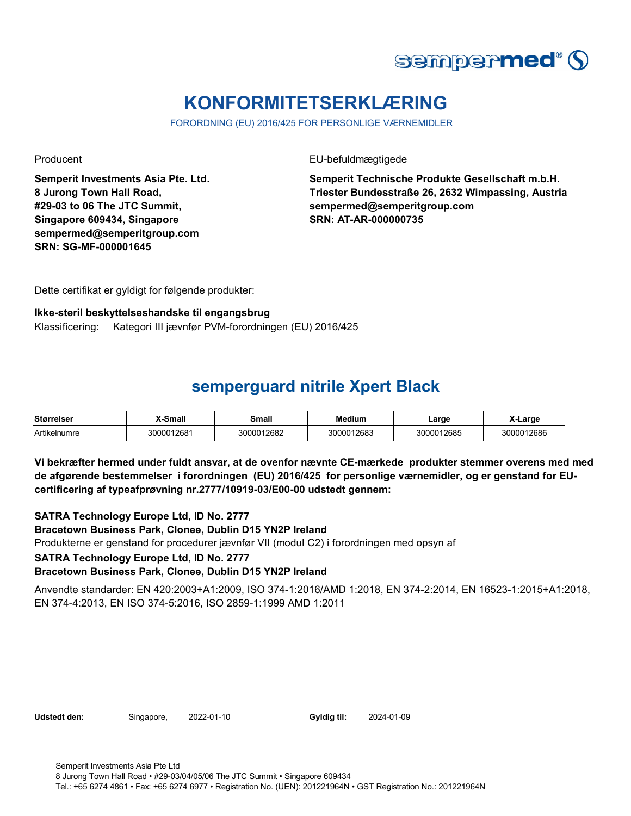

# **KONFORMITETSERKLÆRING**

FORORDNING (EU) 2016/425 FOR PERSONLIGE VÆRNEMIDLER

**Semperit Investments Asia Pte. Ltd. 8 Jurong Town Hall Road, #29-03 to 06 The JTC Summit, Singapore 609434, Singapore sempermed@semperitgroup.com SRN: SG-MF-000001645**

Producent EU-befuldmægtigede

**Semperit Technische Produkte Gesellschaft m.b.H. Triester Bundesstraße 26, 2632 Wimpassing, Austria sempermed@semperitgroup.com SRN: AT-AR-000000735**

Dette certifikat er gyldigt for følgende produkter:

#### **Ikke-steril beskyttelseshandske til engangsbrug**

Klassificering: Kategori III jævnfør PVM-forordningen (EU) 2016/425

### **semperguard nitrile Xpert Black**

| <b>Størrelser</b> | -Small     | <b>Small</b> | <b>Medium</b> | Large      | <b>∧-Large</b> |
|-------------------|------------|--------------|---------------|------------|----------------|
| Artikelnumre      | 3000012681 | 3000012682   | 3000012683    | 3000012685 | 3000012686     |

**Vi bekræfter hermed under fuldt ansvar, at de ovenfor nævnte CE-mærkede produkter stemmer overens med med de afgørende bestemmelser i forordningen (EU) 2016/425 for personlige værnemidler, og er genstand for EUcertificering af typeafprøvning nr.2777/10919-03/E00-00 udstedt gennem:**

**SATRA Technology Europe Ltd, ID No. 2777**

**Bracetown Business Park, Clonee, Dublin D15 YN2P Ireland**

Produkterne er genstand for procedurer jævnfør VII (modul C2) i forordningen med opsyn af

**SATRA Technology Europe Ltd, ID No. 2777**

**Bracetown Business Park, Clonee, Dublin D15 YN2P Ireland**

Anvendte standarder: EN 420:2003+A1:2009, ISO 374-1:2016/AMD 1:2018, EN 374-2:2014, EN 16523-1:2015+A1:2018, EN 374-4:2013, EN ISO 374-5:2016, ISO 2859-1:1999 AMD 1:2011

**Udstedt den:** Singapore, 2022-01-10 **Gyldig til:** 2024-01-09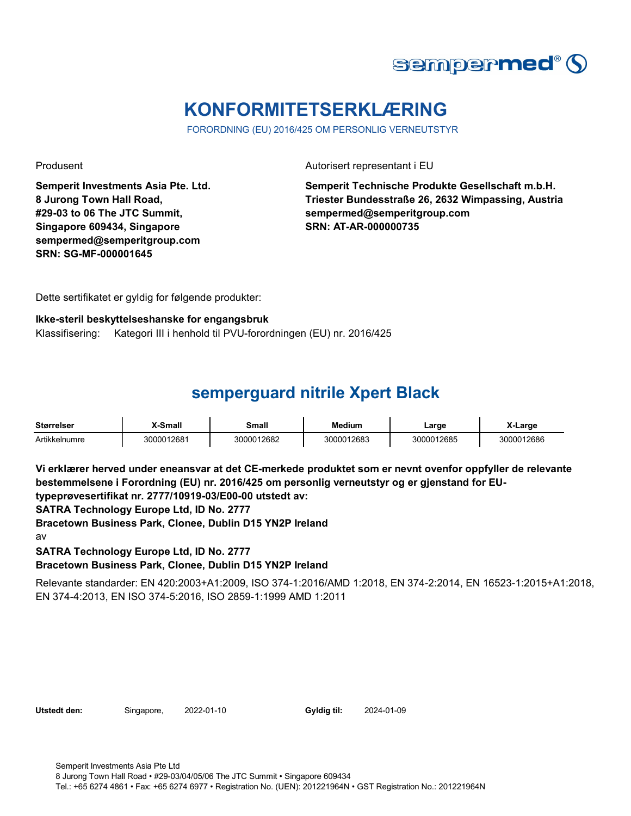

# **KONFORMITETSERKLÆRING**

FORORDNING (EU) 2016/425 OM PERSONLIG VERNEUTSTYR

**Semperit Investments Asia Pte. Ltd. 8 Jurong Town Hall Road, #29-03 to 06 The JTC Summit, Singapore 609434, Singapore sempermed@semperitgroup.com SRN: SG-MF-000001645**

Produsent Autorisert representant i EU

**Semperit Technische Produkte Gesellschaft m.b.H. Triester Bundesstraße 26, 2632 Wimpassing, Austria sempermed@semperitgroup.com SRN: AT-AR-000000735**

Dette sertifikatet er gyldig for følgende produkter:

#### **Ikke-steril beskyttelseshanske for engangsbruk**

Klassifisering: Kategori III i henhold til PVU-forordningen (EU) nr. 2016/425

## **semperguard nitrile Xpert Black**

| <b>Størrelser</b> | X-Small    | Small      | <b>Medium</b> | Large      | X-Larɑe    |
|-------------------|------------|------------|---------------|------------|------------|
| Artikkelnumre     | 3000012681 | 3000012682 | 3000012683    | 3000012685 | 3000012686 |

**Vi erklærer herved under eneansvar at det CE-merkede produktet som er nevnt ovenfor oppfyller de relevante bestemmelsene i Forordning (EU) nr. 2016/425 om personlig verneutstyr og er gjenstand for EU-**

**typeprøvesertifikat nr. 2777/10919-03/E00-00 utstedt av:**

**SATRA Technology Europe Ltd, ID No. 2777**

**Bracetown Business Park, Clonee, Dublin D15 YN2P Ireland**

av

#### **SATRA Technology Europe Ltd, ID No. 2777 Bracetown Business Park, Clonee, Dublin D15 YN2P Ireland**

Relevante standarder: EN 420:2003+A1:2009, ISO 374-1:2016/AMD 1:2018, EN 374-2:2014, EN 16523-1:2015+A1:2018, EN 374-4:2013, EN ISO 374-5:2016, ISO 2859-1:1999 AMD 1:2011

**Utstedt den:** Singapore, 2022-01-10 **Gyldig til:** 2024-01-09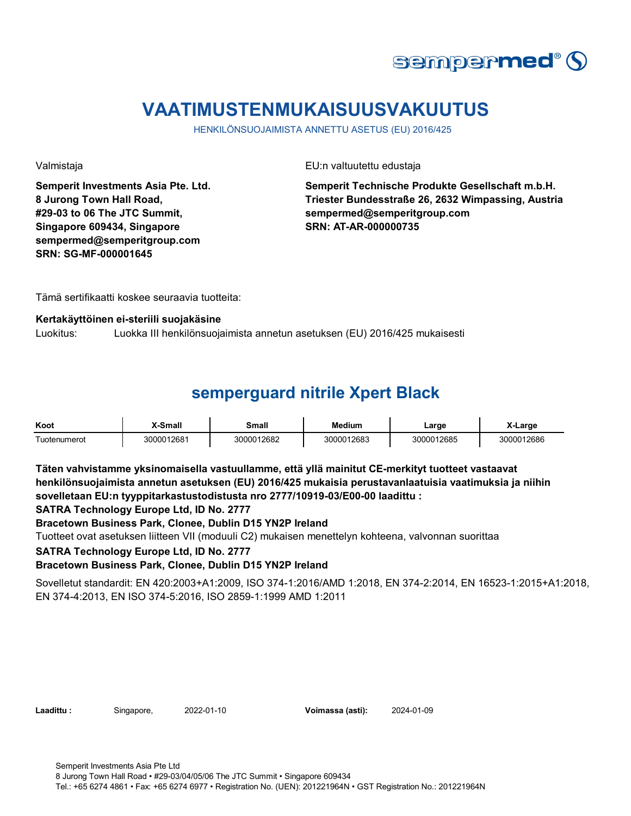

# **VAATIMUSTENMUKAISUUSVAKUUTUS**

HENKILÖNSUOJAIMISTA ANNETTU ASETUS (EU) 2016/425

**Semperit Investments Asia Pte. Ltd. 8 Jurong Town Hall Road, #29-03 to 06 The JTC Summit, Singapore 609434, Singapore sempermed@semperitgroup.com SRN: SG-MF-000001645**

Valmistaja EU:n valtuutettu edustaja

**Semperit Technische Produkte Gesellschaft m.b.H. Triester Bundesstraße 26, 2632 Wimpassing, Austria sempermed@semperitgroup.com SRN: AT-AR-000000735**

Tämä sertifikaatti koskee seuraavia tuotteita:

#### **Kertakäyttöinen ei-steriili suojakäsine**

Luokitus: Luokka III henkilönsuojaimista annetun asetuksen (EU) 2016/425 mukaisesti

# **semperguard nitrile Xpert Black**

| Koot                                    | X-Small    | Small      | <b>Medium</b> | ∟arge      | X-Large    |
|-----------------------------------------|------------|------------|---------------|------------|------------|
| $\overline{\phantom{0}}$<br>uotenumerot | 3000012681 | 3000012682 | 3000012683    | 3000012685 | 3000012686 |

**Täten vahvistamme yksinomaisella vastuullamme, että yllä mainitut CE-merkityt tuotteet vastaavat henkilönsuojaimista annetun asetuksen (EU) 2016/425 mukaisia perustavanlaatuisia vaatimuksia ja niihin sovelletaan EU:n tyyppitarkastustodistusta nro 2777/10919-03/E00-00 laadittu :**

**SATRA Technology Europe Ltd, ID No. 2777**

**Bracetown Business Park, Clonee, Dublin D15 YN2P Ireland**

Tuotteet ovat asetuksen liitteen VII (moduuli C2) mukaisen menettelyn kohteena, valvonnan suorittaa

**SATRA Technology Europe Ltd, ID No. 2777**

#### **Bracetown Business Park, Clonee, Dublin D15 YN2P Ireland**

Sovelletut standardit: EN 420:2003+A1:2009, ISO 374-1:2016/AMD 1:2018, EN 374-2:2014, EN 16523-1:2015+A1:2018, EN 374-4:2013, EN ISO 374-5:2016, ISO 2859-1:1999 AMD 1:2011

**Laadittu :** Singapore, 2022-01-10 **Voimassa (asti):** 2024-01-09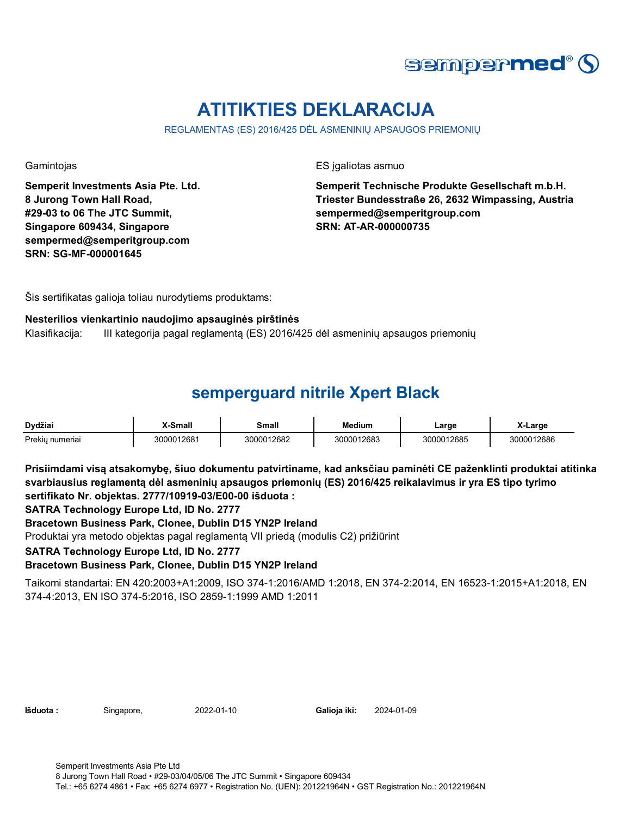

# **ATITIKTIES DEKLARACIJA**

REGLAMENTAS (ES) 2016/425 DĖL ASMENINIŲ APSAUGOS PRIEMONIŲ

**Semperit Investments Asia Pte. Ltd. 8 Jurong Town Hall Road, #29-03 to 06 The JTC Summit, Singapore 609434, Singapore sempermed@semperitgroup.com SRN: SG-MF-000001645**

Gamintojas ES įgaliotas asmuo

**Semperit Technische Produkte Gesellschaft m.b.H. Triester Bundesstraße 26, 2632 Wimpassing, Austria sempermed@semperitgroup.com SRN: AT-AR-000000735**

Šis sertifikatas galioja toliau nurodytiems produktams:

#### **Nesterilios vienkartinio naudojimo apsauginės pirštinės**

Klasifikacija: III kategorija pagal reglamentą (ES) 2016/425 dėl asmeninių apsaugos priemonių

## **semperguard nitrile Xpert Black**

| Dvdžiai         | X-Small    | Small      | <b>Medium</b> | Large      | X-Large    |
|-----------------|------------|------------|---------------|------------|------------|
| Prekiu numeriai | 3000012681 | 3000012682 | 3000012683    | 3000012685 | 3000012686 |

**Prisiimdami visą atsakomybę, šiuo dokumentu patvirtiname, kad anksčiau paminėti CE paženklinti produktai atitinka svarbiausius reglamentą dėl asmeninių apsaugos priemonių (ES) 2016/425 reikalavimus ir yra ES tipo tyrimo sertifikato Nr. objektas. 2777/10919-03/E00-00 išduota :**

**SATRA Technology Europe Ltd, ID No. 2777**

**Bracetown Business Park, Clonee, Dublin D15 YN2P Ireland**

Produktai yra metodo objektas pagal reglamentą VII priedą (modulis C2) prižiūrint

**SATRA Technology Europe Ltd, ID No. 2777**

**Bracetown Business Park, Clonee, Dublin D15 YN2P Ireland**

Taikomi standartai: EN 420:2003+A1:2009, ISO 374-1:2016/AMD 1:2018, EN 374-2:2014, EN 16523-1:2015+A1:2018, EN 374-4:2013, EN ISO 374-5:2016, ISO 2859-1:1999 AMD 1:2011

| lšduota : |  |
|-----------|--|
|           |  |

**Išduota :** Singapore, 2022-01-10 **Galioja iki:** 2024-01-09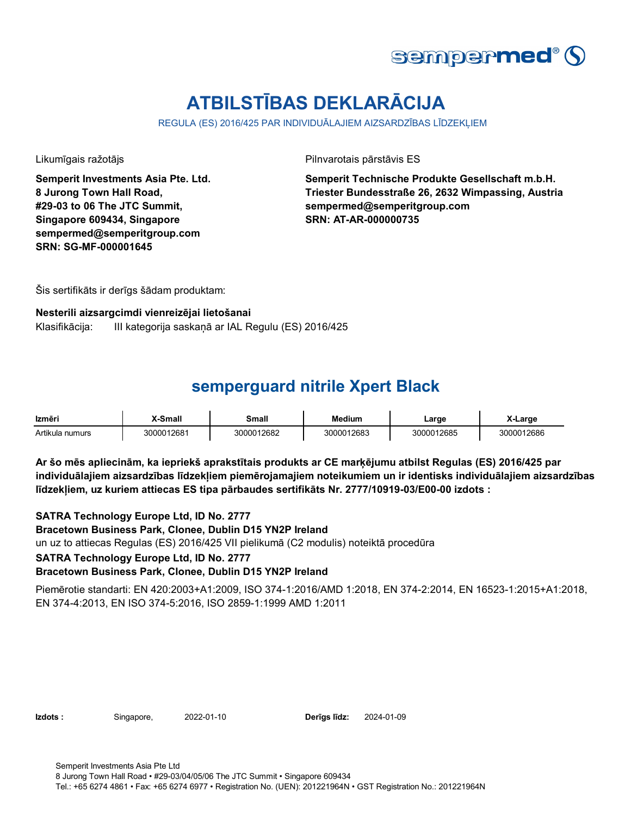

# **ATBILSTĪBAS DEKLARĀCIJA**

REGULA (ES) 2016/425 PAR INDIVIDUĀLAJIEM AIZSARDZĪBAS LĪDZEKLIEM

**Semperit Investments Asia Pte. Ltd. 8 Jurong Town Hall Road, #29-03 to 06 The JTC Summit, Singapore 609434, Singapore sempermed@semperitgroup.com SRN: SG-MF-000001645**

Likumīgais ražotājs Pilnvarotais pārstāvis ES

**Semperit Technische Produkte Gesellschaft m.b.H. Triester Bundesstraße 26, 2632 Wimpassing, Austria sempermed@semperitgroup.com SRN: AT-AR-000000735**

Šis sertifikāts ir derīgs šādam produktam:

#### **Nesterili aizsargcimdi vienreizējai lietošanai**

Klasifikācija: III kategorija saskaņā ar IAL Regulu (ES) 2016/425

### **semperguard nitrile Xpert Black**

| Izmēri          | X-Small    | Small      | <b>Medium</b> | ∟arge      | -Larɑe     |
|-----------------|------------|------------|---------------|------------|------------|
| Artikula numurs | 3000012681 | 3000012682 | 3000012683    | 3000012685 | 3000012686 |

**Ar šo mēs apliecinām, ka iepriekš aprakstītais produkts ar CE marķējumu atbilst Regulas (ES) 2016/425 par individuālajiem aizsardzības līdzekļiem piemērojamajiem noteikumiem un ir identisks individuālajiem aizsardzības līdzekļiem, uz kuriem attiecas ES tipa pārbaudes sertifikāts Nr. 2777/10919-03/E00-00 izdots :**

**SATRA Technology Europe Ltd, ID No. 2777**

**Bracetown Business Park, Clonee, Dublin D15 YN2P Ireland**

un uz to attiecas Regulas (ES) 2016/425 VII pielikumā (C2 modulis) noteiktā procedūra

**SATRA Technology Europe Ltd, ID No. 2777**

#### **Bracetown Business Park, Clonee, Dublin D15 YN2P Ireland**

Piemērotie standarti: EN 420:2003+A1:2009, ISO 374-1:2016/AMD 1:2018, EN 374-2:2014, EN 16523-1:2015+A1:2018, EN 374-4:2013, EN ISO 374-5:2016, ISO 2859-1:1999 AMD 1:2011

**Izdots :** Singapore, 2022-01-10 **Derīgs līdz:** 2024-01-09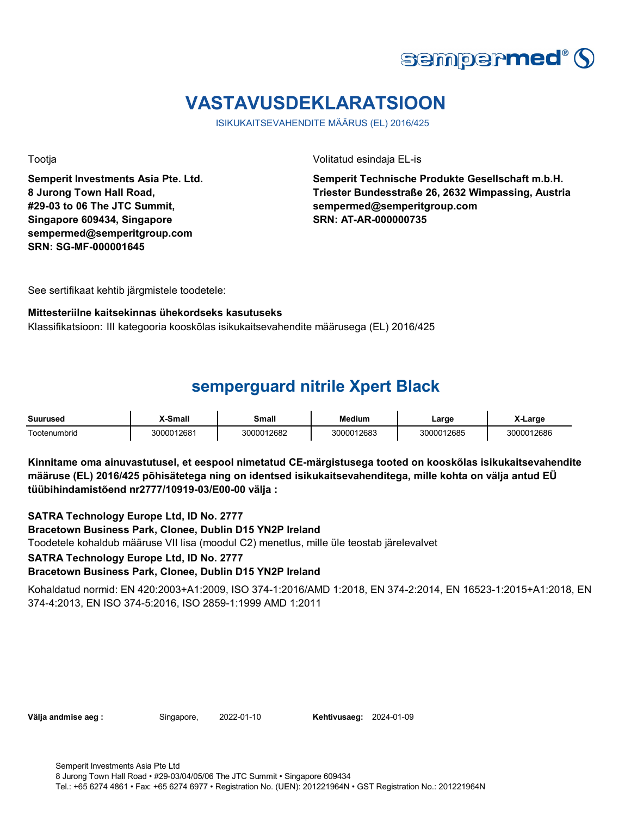

# **VASTAVUSDEKLARATSIOON**

ISIKUKAITSEVAHENDITE MÄÄRUS (EL) 2016/425

**Semperit Investments Asia Pte. Ltd. 8 Jurong Town Hall Road, #29-03 to 06 The JTC Summit, Singapore 609434, Singapore sempermed@semperitgroup.com SRN: SG-MF-000001645**

Tootja Volitatud esindaja EL-is

**Semperit Technische Produkte Gesellschaft m.b.H. Triester Bundesstraße 26, 2632 Wimpassing, Austria sempermed@semperitgroup.com SRN: AT-AR-000000735**

See sertifikaat kehtib järgmistele toodetele:

#### **Mittesteriilne kaitsekinnas ühekordseks kasutuseks**

Klassifikatsioon: III kategooria kooskõlas isikukaitsevahendite määrusega (EL) 2016/425

### **semperguard nitrile Xpert Black**

| <b>Suurused</b> | -Small     | Small      | <b>Medium</b> | ∟arɑe      | X-Large    |
|-----------------|------------|------------|---------------|------------|------------|
| Tootenumbrid    | 3000012681 | 3000012682 | 3000012683    | 3000012685 | 3000012686 |

**Kinnitame oma ainuvastutusel, et eespool nimetatud CE-märgistusega tooted on kooskõlas isikukaitsevahendite määruse (EL) 2016/425 põhisätetega ning on identsed isikukaitsevahenditega, mille kohta on välja antud EÜ tüübihindamistõend nr2777/10919-03/E00-00 välja :**

**SATRA Technology Europe Ltd, ID No. 2777**

**Bracetown Business Park, Clonee, Dublin D15 YN2P Ireland**

Toodetele kohaldub määruse VII lisa (moodul C2) menetlus, mille üle teostab järelevalvet

**SATRA Technology Europe Ltd, ID No. 2777**

**Bracetown Business Park, Clonee, Dublin D15 YN2P Ireland**

Kohaldatud normid: EN 420:2003+A1:2009, ISO 374-1:2016/AMD 1:2018, EN 374-2:2014, EN 16523-1:2015+A1:2018, EN 374-4:2013, EN ISO 374-5:2016, ISO 2859-1:1999 AMD 1:2011

**Välja andmise aeg :** Singapore, 2022-01-10 **Kehtivusaeg:** 2024-01-09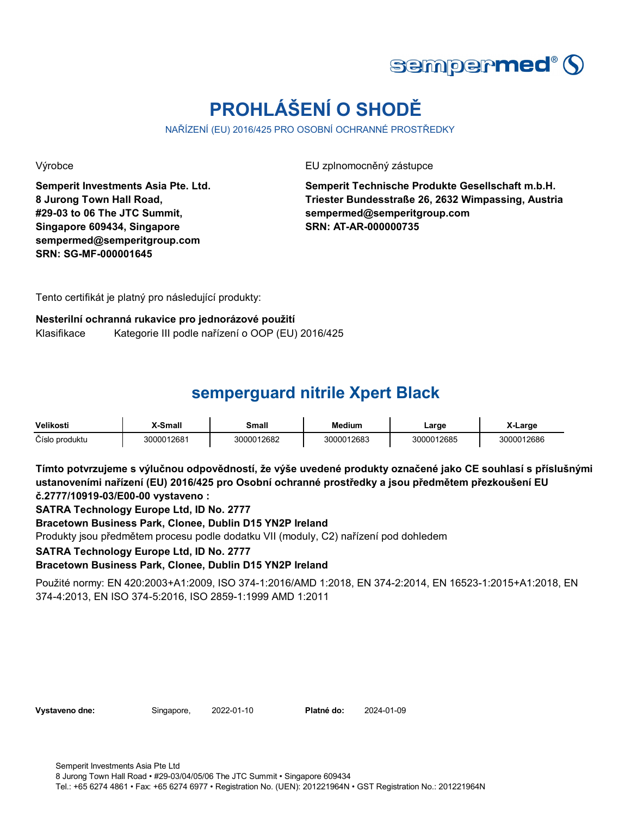

# **PROHLÁŠENÍ O SHODĚ**

NAŘÍZENÍ (EU) 2016/425 PRO OSOBNÍ OCHRANNÉ PROSTŘEDKY

**Semperit Investments Asia Pte. Ltd. 8 Jurong Town Hall Road, #29-03 to 06 The JTC Summit, Singapore 609434, Singapore sempermed@semperitgroup.com SRN: SG-MF-000001645**

Výrobce EU zplnomocněný zástupce

**Semperit Technische Produkte Gesellschaft m.b.H. Triester Bundesstraße 26, 2632 Wimpassing, Austria sempermed@semperitgroup.com SRN: AT-AR-000000735**

Tento certifikát je platný pro následující produkty:

### **Nesterilní ochranná rukavice pro jednorázové použití** Klasifikace Kategorie III podle nařízení o OOP (EU) 2016/425

# **semperguard nitrile Xpert Black**

| Velikosti      | X-Small    | Small      | <b>Medium</b> | Large      | <b>X-Large</b> |
|----------------|------------|------------|---------------|------------|----------------|
| Číslo produktu | 3000012681 | 3000012682 | 3000012683    | 3000012685 | 3000012686     |

**Tímto potvrzujeme s výlučnou odpovědností, že výše uvedené produkty označené jako CE souhlasí s příslušnými ustanoveními nařízení (EU) 2016/425 pro Osobní ochranné prostředky a jsou předmětem přezkoušení EU č.2777/10919-03/E00-00 vystaveno :**

**SATRA Technology Europe Ltd, ID No. 2777**

**Bracetown Business Park, Clonee, Dublin D15 YN2P Ireland**

Produkty jsou předmětem procesu podle dodatku VII (moduly, C2) nařízení pod dohledem

**SATRA Technology Europe Ltd, ID No. 2777**

**Bracetown Business Park, Clonee, Dublin D15 YN2P Ireland**

Použité normy: EN 420:2003+A1:2009, ISO 374-1:2016/AMD 1:2018, EN 374-2:2014, EN 16523-1:2015+A1:2018, EN 374-4:2013, EN ISO 374-5:2016, ISO 2859-1:1999 AMD 1:2011

|  | Vystaveno dne: |  |
|--|----------------|--|
|--|----------------|--|

**Vystaveno dne:** Singapore, 2022-01-10 **Platné do:** 2024-01-09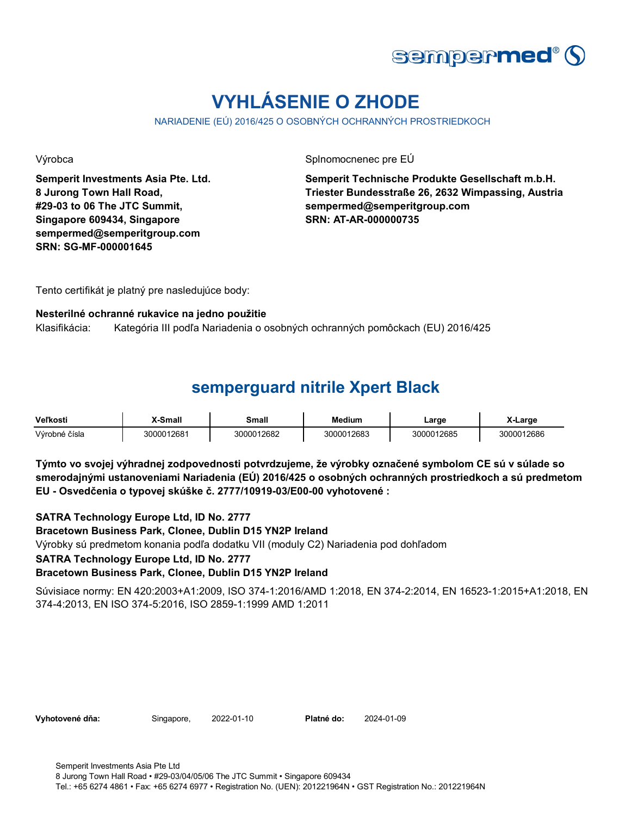

# **VYHLÁSENIE O ZHODE**

NARIADENIE (EÚ) 2016/425 O OSOBNÝCH OCHRANNÝCH PROSTRIEDKOCH

**Semperit Investments Asia Pte. Ltd. 8 Jurong Town Hall Road, #29-03 to 06 The JTC Summit, Singapore 609434, Singapore sempermed@semperitgroup.com SRN: SG-MF-000001645**

Výrobca **Splnomocnenec pre EÚ** 

**Semperit Technische Produkte Gesellschaft m.b.H. Triester Bundesstraße 26, 2632 Wimpassing, Austria sempermed@semperitgroup.com SRN: AT-AR-000000735**

Tento certifikát je platný pre nasledujúce body:

#### **Nesterilné ochranné rukavice na jedno použitie**

Klasifikácia: Kategória III podľa Nariadenia o osobných ochranných pomôckach (EU) 2016/425

### **semperguard nitrile Xpert Black**

| <b>Veľkosti</b> | X-Small    | Small      | <b>Medium</b> | Large      | X-Large    |
|-----------------|------------|------------|---------------|------------|------------|
| Výrobné čísla   | 3000012681 | 3000012682 | 3000012683    | 3000012685 | 3000012686 |

**Týmto vo svojej výhradnej zodpovednosti potvrdzujeme, že výrobky označené symbolom CE sú v súlade so smerodajnými ustanoveniami Nariadenia (EÚ) 2016/425 o osobných ochranných prostriedkoch a sú predmetom EU - Osvedčenia o typovej skúške č. 2777/10919-03/E00-00 vyhotovené :**

**SATRA Technology Europe Ltd, ID No. 2777**

**Bracetown Business Park, Clonee, Dublin D15 YN2P Ireland**

Výrobky sú predmetom konania podľa dodatku VII (moduly C2) Nariadenia pod dohľadom

**SATRA Technology Europe Ltd, ID No. 2777**

**Bracetown Business Park, Clonee, Dublin D15 YN2P Ireland**

Súvisiace normy: EN 420:2003+A1:2009, ISO 374-1:2016/AMD 1:2018, EN 374-2:2014, EN 16523-1:2015+A1:2018, EN 374-4:2013, EN ISO 374-5:2016, ISO 2859-1:1999 AMD 1:2011

**Vyhotovené dňa:** Singapore, 2022-01-10 **Platné do:** 2024-01-09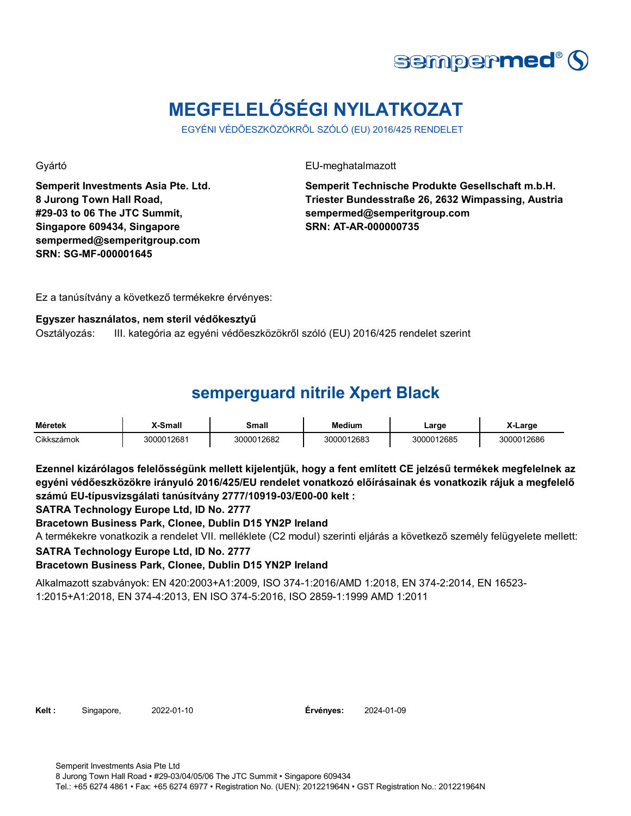

# **MEGFELELŐSÉGI NYILATKOZAT**

EGYÉNI VÉDŐESZKÖZÖKRŐL SZÓLÓ (EU) 2016/425 RENDELET

**Semperit Investments Asia Pte. Ltd. 8 Jurong Town Hall Road, #29-03 to 06 The JTC Summit, Singapore 609434, Singapore sempermed@semperitgroup.com SRN: SG-MF-000001645**

Gyártó EU-meghatalmazott

**Semperit Technische Produkte Gesellschaft m.b.H. Triester Bundesstraße 26, 2632 Wimpassing, Austria sempermed@semperitgroup.com SRN: AT-AR-000000735**

Ez a tanúsítvány a következő termékekre érvényes:

#### **Egyszer használatos, nem steril védőkesztyű**

Osztályozás: III. kategória az egyéni védőeszközökről szóló (EU) 2016/425 rendelet szerint

## **semperguard nitrile Xpert Black**

| <b>Méretek</b> | X-Small    | Small      | <b>Medium</b> | Large      | _arɑe      |
|----------------|------------|------------|---------------|------------|------------|
| Cikkszámok     | 3000012681 | 3000012682 | 3000012683    | 3000012685 | 3000012686 |

**Ezennel kizárólagos felelősségünk mellett kijelentjük, hogy a fent említett CE jelzésű termékek megfelelnek az egyéni védőeszközökre irányuló 2016/425/EU rendelet vonatkozó előírásainak és vonatkozik rájuk a megfelelő számú EU-típusvizsgálati tanúsítvány 2777/10919-03/E00-00 kelt :**

**SATRA Technology Europe Ltd, ID No. 2777**

**Bracetown Business Park, Clonee, Dublin D15 YN2P Ireland**

**SATRA Technology Europe Ltd, ID No. 2777** A termékekre vonatkozik a rendelet VII. melléklete (C2 modul) szerinti eljárás a következő személy felügyelete mellett:

**Bracetown Business Park, Clonee, Dublin D15 YN2P Ireland**

Alkalmazott szabványok: EN 420:2003+A1:2009, ISO 374-1:2016/AMD 1:2018, EN 374-2:2014, EN 16523- 1:2015+A1:2018, EN 374-4:2013, EN ISO 374-5:2016, ISO 2859-1:1999 AMD 1:2011

**Kelt :** Singapore, 2022-01-10 **Érvényes:** 2024-01-09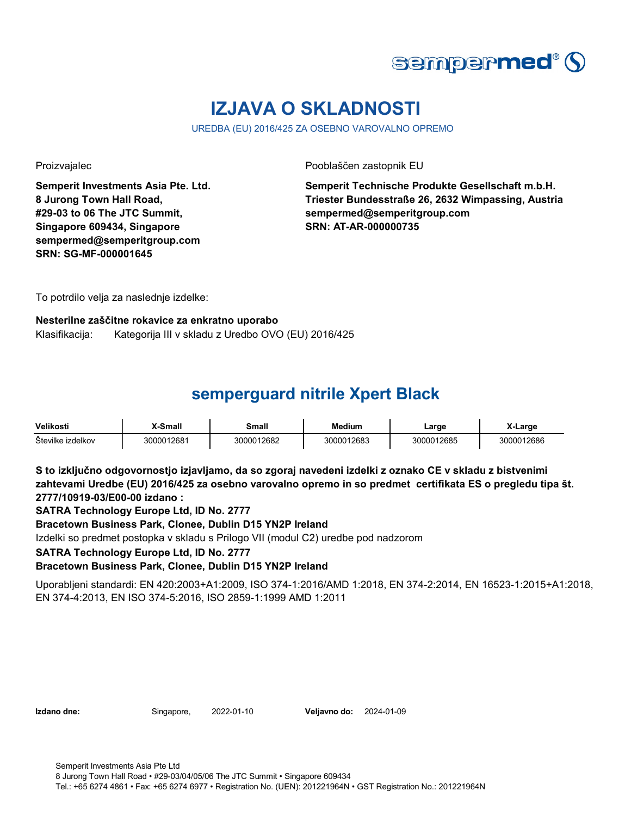

# **IZJAVA O SKLADNOSTI**

UREDBA (EU) 2016/425 ZA OSEBNO VAROVALNO OPREMO

**Semperit Investments Asia Pte. Ltd. 8 Jurong Town Hall Road, #29-03 to 06 The JTC Summit, Singapore 609434, Singapore sempermed@semperitgroup.com SRN: SG-MF-000001645**

Proizvajalec Pooblaščen zastopnik EU

**Semperit Technische Produkte Gesellschaft m.b.H. Triester Bundesstraße 26, 2632 Wimpassing, Austria sempermed@semperitgroup.com SRN: AT-AR-000000735**

To potrdilo velja za naslednje izdelke:

### **Nesterilne zaščitne rokavice za enkratno uporabo** Klasifikacija: Kategorija III v skladu z Uredbo OVO (EU) 2016/425

# **semperguard nitrile Xpert Black**

| Velikosti         | -Small     | Smalı      | Medium     | Large      | K-Large    |
|-------------------|------------|------------|------------|------------|------------|
| Stevilke izdelkov | 3000012681 | 3000012682 | 3000012683 | 3000012685 | 3000012686 |

**S to izključno odgovornostjo izjavljamo, da so zgoraj navedeni izdelki z oznako CE v skladu z bistvenimi zahtevami Uredbe (EU) 2016/425 za osebno varovalno opremo in so predmet certifikata ES o pregledu tipa št. 2777/10919-03/E00-00 izdano :**

**SATRA Technology Europe Ltd, ID No. 2777**

**Bracetown Business Park, Clonee, Dublin D15 YN2P Ireland**

Izdelki so predmet postopka v skladu s Prilogo VII (modul C2) uredbe pod nadzorom

**SATRA Technology Europe Ltd, ID No. 2777**

**Bracetown Business Park, Clonee, Dublin D15 YN2P Ireland**

Uporabljeni standardi: EN 420:2003+A1:2009, ISO 374-1:2016/AMD 1:2018, EN 374-2:2014, EN 16523-1:2015+A1:2018, EN 374-4:2013, EN ISO 374-5:2016, ISO 2859-1:1999 AMD 1:2011

**Izdano dne:** Singapore, 2022-01-10 **Veljavno do:** 2024-01-09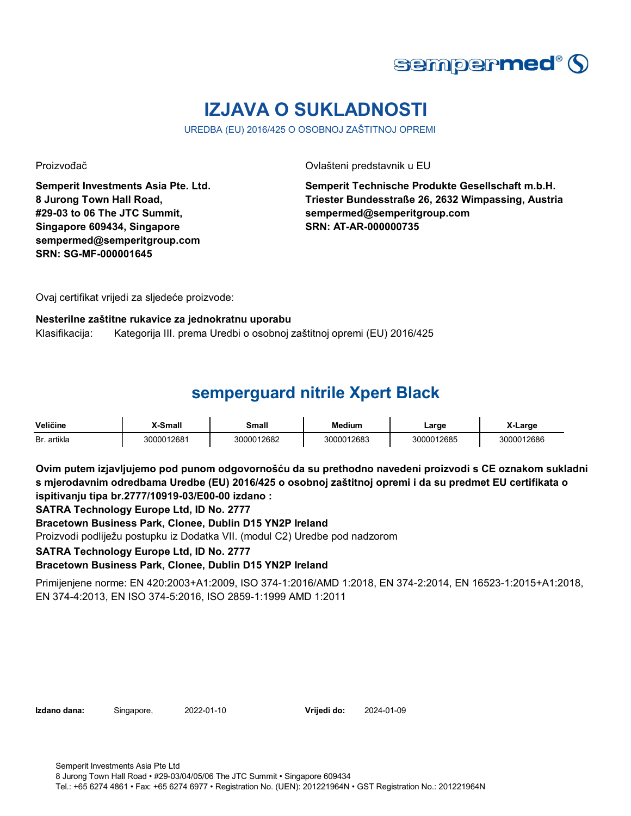

# **IZJAVA O SUKLADNOSTI**

UREDBA (EU) 2016/425 O OSOBNOJ ZAŠTITNOJ OPREMI

**Semperit Investments Asia Pte. Ltd. 8 Jurong Town Hall Road, #29-03 to 06 The JTC Summit, Singapore 609434, Singapore sempermed@semperitgroup.com SRN: SG-MF-000001645**

Proizvođač Ovlašteni predstavnik u EU

**Semperit Technische Produkte Gesellschaft m.b.H. Triester Bundesstraße 26, 2632 Wimpassing, Austria sempermed@semperitgroup.com SRN: AT-AR-000000735**

Ovaj certifikat vrijedi za sljedeće proizvode:

#### **Nesterilne zaštitne rukavice za jednokratnu uporabu**

Klasifikacija: Kategorija III. prema Uredbi o osobnoj zaštitnoj opremi (EU) 2016/425

## **semperguard nitrile Xpert Black**

| Veličine    | <b>K-Small</b> | Small      | Medium     | Large      | X-Larɑe    |
|-------------|----------------|------------|------------|------------|------------|
| Br. artikla | 3000012681     | 3000012682 | 3000012683 | 3000012685 | 3000012686 |

**Ovim putem izjavljujemo pod punom odgovornošću da su prethodno navedeni proizvodi s CE oznakom sukladni s mjerodavnim odredbama Uredbe (EU) 2016/425 o osobnoj zaštitnoj opremi i da su predmet EU certifikata o ispitivanju tipa br.2777/10919-03/E00-00 izdano :**

**SATRA Technology Europe Ltd, ID No. 2777**

**Bracetown Business Park, Clonee, Dublin D15 YN2P Ireland**

Proizvodi podliježu postupku iz Dodatka VII. (modul C2) Uredbe pod nadzorom

**SATRA Technology Europe Ltd, ID No. 2777**

**Bracetown Business Park, Clonee, Dublin D15 YN2P Ireland**

Primijenjene norme: EN 420:2003+A1:2009, ISO 374-1:2016/AMD 1:2018, EN 374-2:2014, EN 16523-1:2015+A1:2018, EN 374-4:2013, EN ISO 374-5:2016, ISO 2859-1:1999 AMD 1:2011

**Izdano dana:** Singapore, 2022-01-10 **Vrijedi do:** 2024-01-09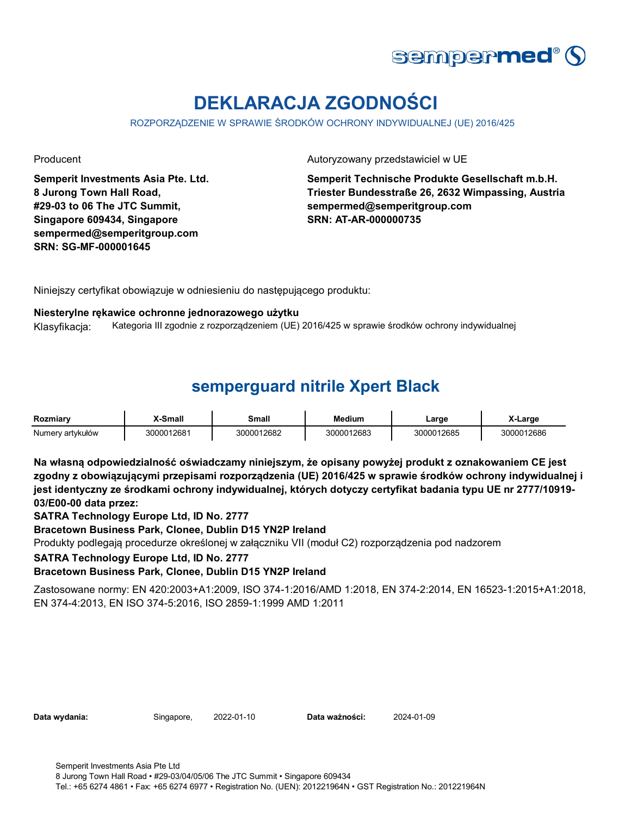

# **DEKLARACJA ZGODNOŚCI**

ROZPORZĄDZENIE W SPRAWIE ŚRODKÓW OCHRONY INDYWIDUALNEJ (UE) 2016/425

**Semperit Investments Asia Pte. Ltd. 8 Jurong Town Hall Road, #29-03 to 06 The JTC Summit, Singapore 609434, Singapore sempermed@semperitgroup.com SRN: SG-MF-000001645**

Producent **Autoryzowany przedstawiciel w UE** 

**Semperit Technische Produkte Gesellschaft m.b.H. Triester Bundesstraße 26, 2632 Wimpassing, Austria sempermed@semperitgroup.com SRN: AT-AR-000000735**

Niniejszy certyfikat obowiązuje w odniesieniu do następującego produktu:

#### **Niesterylne rękawice ochronne jednorazowego użytku**

Klasyfikacja: Kategoria III zgodnie z rozporządzeniem (UE) 2016/425 w sprawie środków ochrony indywidualnej

## **semperguard nitrile Xpert Black**

| Rozmiarv         | -Small     | Small      | <b>Medium</b> | ∟arge      | X-Large    |
|------------------|------------|------------|---------------|------------|------------|
| Numery artykułów | 3000012681 | 3000012682 | 3000012683    | 3000012685 | 3000012686 |

**Na własną odpowiedzialność oświadczamy niniejszym, że opisany powyżej produkt z oznakowaniem CE jest zgodny z obowiązującymi przepisami rozporządzenia (UE) 2016/425 w sprawie środków ochrony indywidualnej i jest identyczny ze środkami ochrony indywidualnej, których dotyczy certyfikat badania typu UE nr 2777/10919- 03/E00-00 data przez:**

**SATRA Technology Europe Ltd, ID No. 2777**

**Bracetown Business Park, Clonee, Dublin D15 YN2P Ireland**

Produkty podlegają procedurze określonej w załączniku VII (moduł C2) rozporządzenia pod nadzorem

**SATRA Technology Europe Ltd, ID No. 2777**

**Bracetown Business Park, Clonee, Dublin D15 YN2P Ireland**

Zastosowane normy: EN 420:2003+A1:2009, ISO 374-1:2016/AMD 1:2018, EN 374-2:2014, EN 16523-1:2015+A1:2018, EN 374-4:2013, EN ISO 374-5:2016, ISO 2859-1:1999 AMD 1:2011

**Data wydania:** Singapore, 2022-01-10 **Data ważności:** 2024-01-09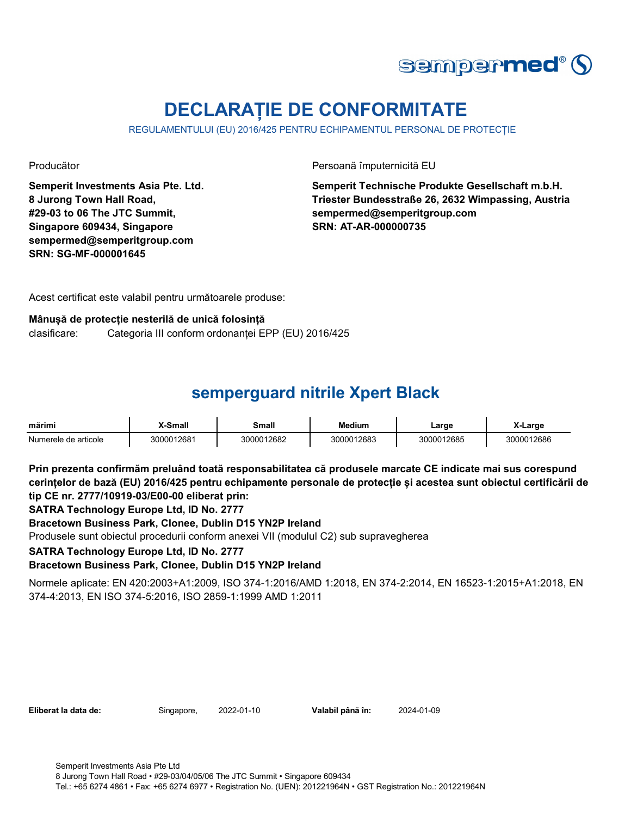

# **DECLARAȚIE DE CONFORMITATE**

REGULAMENTULUI (EU) 2016/425 PENTRU ECHIPAMENTUL PERSONAL DE PROTECȚIE

**Semperit Investments Asia Pte. Ltd. 8 Jurong Town Hall Road, #29-03 to 06 The JTC Summit, Singapore 609434, Singapore sempermed@semperitgroup.com SRN: SG-MF-000001645**

Producător Persoană împuternicită EU

**Semperit Technische Produkte Gesellschaft m.b.H. Triester Bundesstraße 26, 2632 Wimpassing, Austria sempermed@semperitgroup.com SRN: AT-AR-000000735**

Acest certificat este valabil pentru următoarele produse:

### **Mânușă de protecție nesterilă de unică folosință**

clasificare: Categoria III conform ordonanței EPP (EU) 2016/425

# **semperguard nitrile Xpert Black**

| mărimi               | X-Small    | Small      | <b>Medium</b> | Large      | X-Large    |
|----------------------|------------|------------|---------------|------------|------------|
| Numerele de articole | 3000012681 | 3000012682 | 3000012683    | 3000012685 | 3000012686 |

**Prin prezenta confirmăm preluând toată responsabilitatea că produsele marcate CE indicate mai sus corespund cerințelor de bază (EU) 2016/425 pentru echipamente personale de protecție și acestea sunt obiectul certificării de tip CE nr. 2777/10919-03/E00-00 eliberat prin:**

**SATRA Technology Europe Ltd, ID No. 2777**

**Bracetown Business Park, Clonee, Dublin D15 YN2P Ireland**

Produsele sunt obiectul procedurii conform anexei VII (modulul C2) sub supravegherea

**SATRA Technology Europe Ltd, ID No. 2777**

**Bracetown Business Park, Clonee, Dublin D15 YN2P Ireland**

Normele aplicate: EN 420:2003+A1:2009, ISO 374-1:2016/AMD 1:2018, EN 374-2:2014, EN 16523-1:2015+A1:2018, EN 374-4:2013, EN ISO 374-5:2016, ISO 2859-1:1999 AMD 1:2011

|  | Eliberat la data de: |  |
|--|----------------------|--|
|  |                      |  |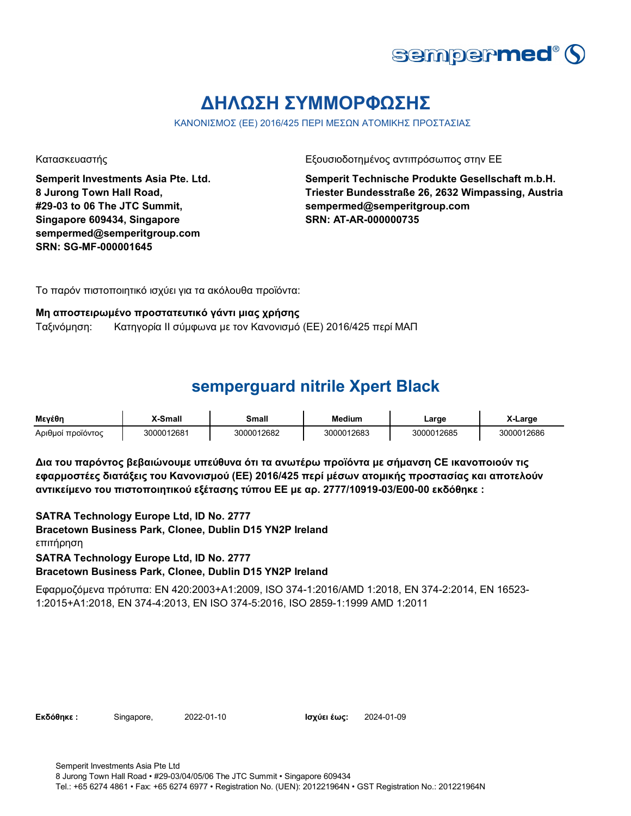

# **ΔΗΛΩΣΗ ΣΥΜΜΟΡΦΩΣΗΣ**

ΚΑΝΟΝΙΣΜΟΣ (ΕΕ) 2016/425 ΠΕΡΙ ΜΕΣΩΝ ΑΤΟΜΙΚΗΣ ΠΡΟΣΤΑΣΙΑΣ

**Semperit Investments Asia Pte. Ltd. 8 Jurong Town Hall Road, #29-03 to 06 The JTC Summit, Singapore 609434, Singapore sempermed@semperitgroup.com SRN: SG-MF-000001645**

Κατασκευαστής Γεριοδοτημένος αντιπρόσωπος στην ΕΕ

**Semperit Technische Produkte Gesellschaft m.b.H. Triester Bundesstraße 26, 2632 Wimpassing, Austria sempermed@semperitgroup.com SRN: AT-AR-000000735**

Το παρόν πιστοποιητικό ισχύει για τα ακόλουθα προϊόντα:

#### **Μη αποστειρωμένο προστατευτικό γάντι μιας χρήσης**

Ταξινόμηση: Κατηγορία II σύμφωνα με τον Κανονισμό (ΕΕ) 2016/425 περί ΜΑΠ

### **semperguard nitrile Xpert Black**

| Μενέθη            | <b>Y-Small</b> | Small      | Medium     | ∟arge      | X-Larɑe |
|-------------------|----------------|------------|------------|------------|---------|
| Αριθμοί προϊόντος | 3000012681     | 3000012682 | 3000012683 | 3000012685 | 12686   |

**Δια του παρόντος βεβαιώνουμε υπεύθυνα ότι τα ανωτέρω προϊόντα με σήμανση CE ικανοποιούν τις εφαρμοστέες διατάξεις του Κανονισμού (ΕΕ) 2016/425 περί μέσων ατομικής προστασίας και αποτελούν αντικείμενο του πιστοποιητικού εξέτασης τύπου ΕΕ με αρ. 2777/10919-03/E00-00 εκδόθηκε :**

**SATRA Technology Europe Ltd, ID No. 2777 Bracetown Business Park, Clonee, Dublin D15 YN2P Ireland Bracetown Business Park, Clonee, Dublin D15 YN2P Ireland** επιτήρηση **SATRA Technology Europe Ltd, ID No. 2777**

Εφαρμοζόμενα πρότυπα: EN 420:2003+A1:2009, ISO 374-1:2016/AMD 1:2018, EN 374-2:2014, EN 16523- 1:2015+A1:2018, EN 374-4:2013, EN ISO 374-5:2016, ISO 2859-1:1999 AMD 1:2011

| Εκδόθηκε: | Singapore, | $\mathbf{p}$ |
|-----------|------------|--------------|
|           |            |              |

**Εκδόθηκε :** Singapore, 2022-01-10 **Ισχύει έως:** 2024-01-09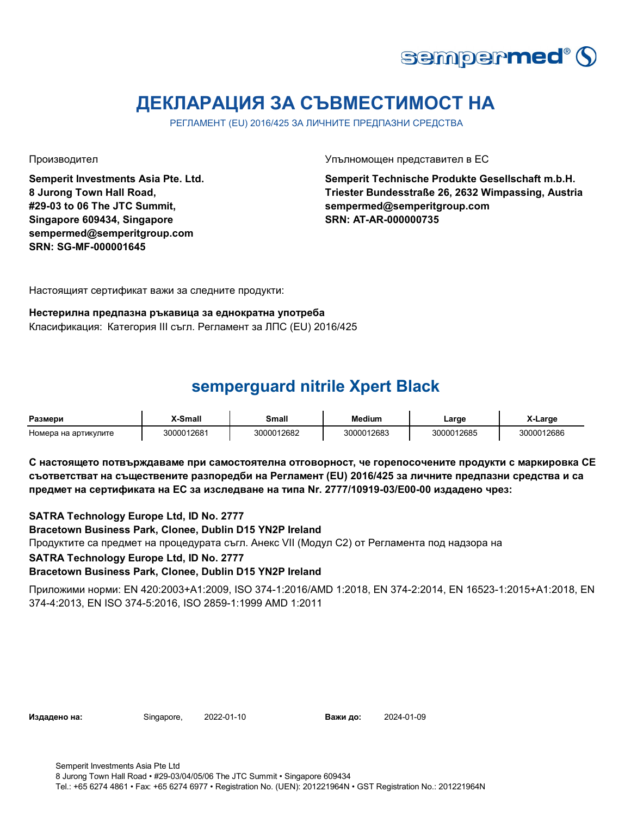

# **ДЕКЛАРАЦИЯ ЗА СЪВМЕСТИМОСТ НА**

РЕГЛАМЕНТ (EU) 2016/425 ЗА ЛИЧНИТЕ ПРЕДПАЗНИ СРЕДСТВА

**Semperit Investments Asia Pte. Ltd. 8 Jurong Town Hall Road, #29-03 to 06 The JTC Summit, Singapore 609434, Singapore sempermed@semperitgroup.com SRN: SG-MF-000001645**

Производител Упълномощен представител в ЕС

**Semperit Technische Produkte Gesellschaft m.b.H. Triester Bundesstraße 26, 2632 Wimpassing, Austria sempermed@semperitgroup.com SRN: AT-AR-000000735**

Настоящият сертификат важи за следните продукти:

#### **Нестерилна предпазна ръкавица за еднократна употреба** Класификация: Категория III съгл. Регламент за ЛПС (EU) 2016/425

# **semperguard nitrile Xpert Black**

| Размери              | K-Small    | Small      | Medium     | ∟arge      | Large      |
|----------------------|------------|------------|------------|------------|------------|
| Номера на артикулите | 3000012681 | 3000012682 | 3000012683 | 3000012685 | 3000012686 |

**С настоящето потвърждаваме при самостоятелна отговорност, че горепосочените продукти с маркировка СЕ съответстват на съществените разпоредби на Регламент (EU) 2016/425 за личните предпазни средства и са предмет на сертификата на ЕС за изследване на типа Nr. 2777/10919-03/E00-00 издадено чрез:**

**SATRA Technology Europe Ltd, ID No. 2777**

**Bracetown Business Park, Clonee, Dublin D15 YN2P Ireland**

Продуктите са предмет на процедурата съгл. Анекс VII (Модул С2) от Регламента под надзора на

**SATRA Technology Europe Ltd, ID No. 2777**

**Bracetown Business Park, Clonee, Dublin D15 YN2P Ireland**

Приложими норми: EN 420:2003+A1:2009, ISO 374-1:2016/AMD 1:2018, EN 374-2:2014, EN 16523-1:2015+A1:2018, EN 374-4:2013, EN ISO 374-5:2016, ISO 2859-1:1999 AMD 1:2011

**Издадено на:** Singapore, 2022-01-10 **Важи до:** 2024-01-09